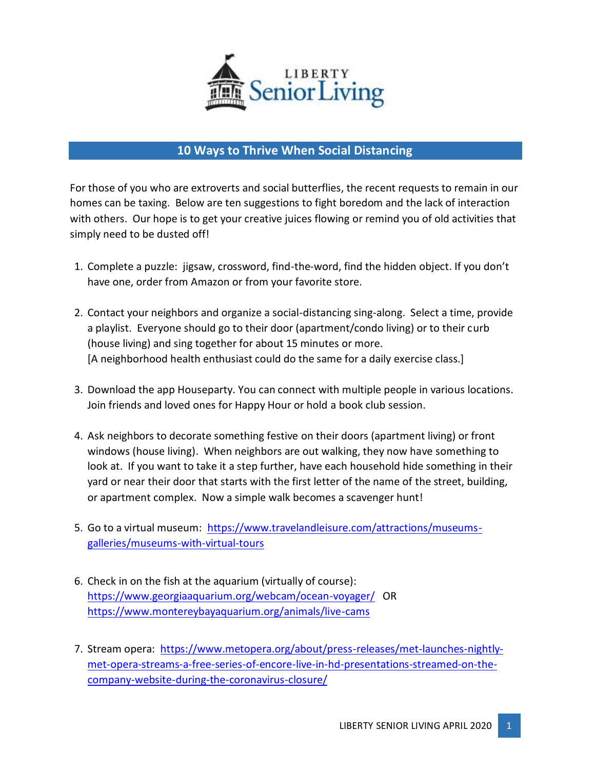

## **10 Ways to Thrive When Social Distancing**

For those of you who are extroverts and social butterflies, the recent requests to remain in our homes can be taxing. Below are ten suggestions to fight boredom and the lack of interaction with others. Our hope is to get your creative juices flowing or remind you of old activities that simply need to be dusted off!

- 1. Complete a puzzle: jigsaw, crossword, find-the-word, find the hidden object. If you don't have one, order from Amazon or from your favorite store.
- 2. Contact your neighbors and organize a social-distancing sing-along. Select a time, provide a playlist. Everyone should go to their door (apartment/condo living) or to their curb (house living) and sing together for about 15 minutes or more. [A neighborhood health enthusiast could do the same for a daily exercise class.]
- 3. Download the app Houseparty. You can connect with multiple people in various locations. Join friends and loved ones for Happy Hour or hold a book club session.
- 4. Ask neighbors to decorate something festive on their doors (apartment living) or front windows (house living). When neighbors are out walking, they now have something to look at. If you want to take it a step further, have each household hide something in their yard or near their door that starts with the first letter of the name of the street, building, or apartment complex. Now a simple walk becomes a scavenger hunt!
- 5. Go to a virtual museum: [https://www.travelandleisure.com/attractions/museums](https://www.travelandleisure.com/attractions/museums-galleries/museums-with-virtual-tours)[galleries/museums-with-virtual-tours](https://www.travelandleisure.com/attractions/museums-galleries/museums-with-virtual-tours)
- 6. Check in on the fish at the aquarium (virtually of course): <https://www.georgiaaquarium.org/webcam/ocean-voyager/>OR <https://www.montereybayaquarium.org/animals/live-cams>
- 7. Stream opera: [https://www.metopera.org/about/press-releases/met-launches-nightly](https://www.metopera.org/about/press-releases/met-launches-nightly-met-opera-streams-a-free-series-of-encore-live-in-hd-presentations-streamed-on-the-company-website-during-the-coronavirus-closure/)[met-opera-streams-a-free-series-of-encore-live-in-hd-presentations-streamed-on-the](https://www.metopera.org/about/press-releases/met-launches-nightly-met-opera-streams-a-free-series-of-encore-live-in-hd-presentations-streamed-on-the-company-website-during-the-coronavirus-closure/)[company-website-during-the-coronavirus-closure/](https://www.metopera.org/about/press-releases/met-launches-nightly-met-opera-streams-a-free-series-of-encore-live-in-hd-presentations-streamed-on-the-company-website-during-the-coronavirus-closure/)